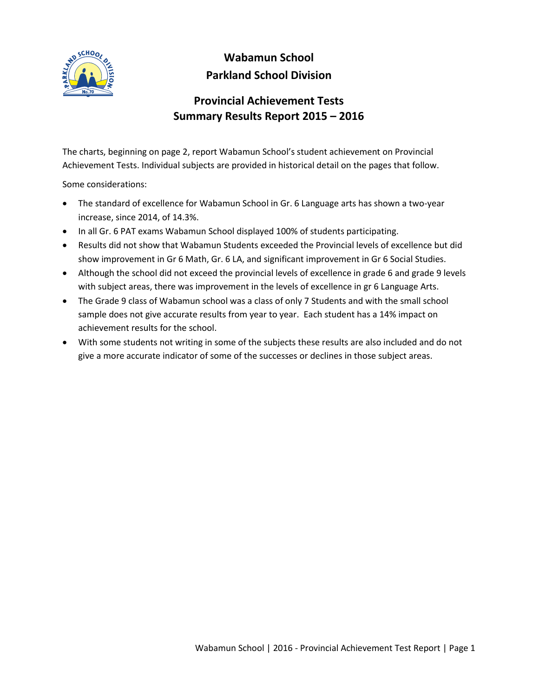

## **Wabamun School Parkland School Division**

## **Provincial Achievement Tests Summary Results Report 2015 – 2016**

The charts, beginning on page 2, report Wabamun School's student achievement on Provincial Achievement Tests. Individual subjects are provided in historical detail on the pages that follow.

Some considerations:

- The standard of excellence for Wabamun School in Gr. 6 Language arts has shown a two-year increase, since 2014, of 14.3%.
- In all Gr. 6 PAT exams Wabamun School displayed 100% of students participating.
- Results did not show that Wabamun Students exceeded the Provincial levels of excellence but did show improvement in Gr 6 Math, Gr. 6 LA, and significant improvement in Gr 6 Social Studies.
- Although the school did not exceed the provincial levels of excellence in grade 6 and grade 9 levels with subject areas, there was improvement in the levels of excellence in gr 6 Language Arts.
- The Grade 9 class of Wabamun school was a class of only 7 Students and with the small school sample does not give accurate results from year to year. Each student has a 14% impact on achievement results for the school.
- With some students not writing in some of the subjects these results are also included and do not give a more accurate indicator of some of the successes or declines in those subject areas.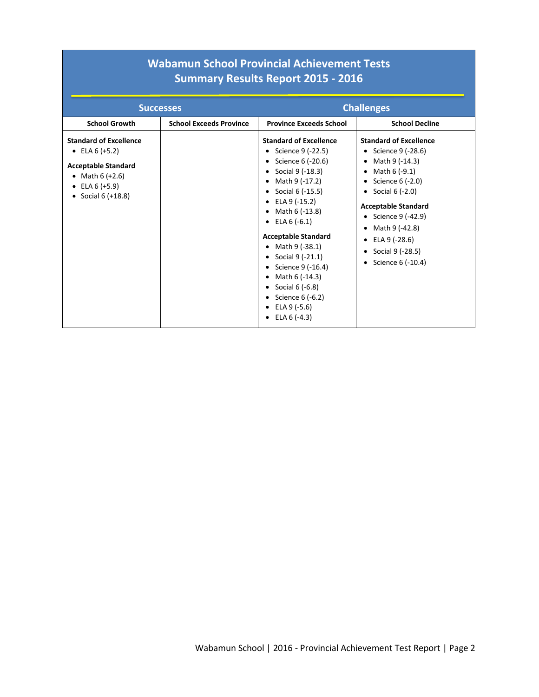## **Wabamun School Provincial Achievement Tests Summary Results Report 2015 - 2016**

|                                                                                                                                                  | <b>Successes</b>               |                                                                                                                                                                                                                                                                                                                                                                                                                                                                  | <b>Challenges</b>                                                                                                                                                                                                                                                                                              |
|--------------------------------------------------------------------------------------------------------------------------------------------------|--------------------------------|------------------------------------------------------------------------------------------------------------------------------------------------------------------------------------------------------------------------------------------------------------------------------------------------------------------------------------------------------------------------------------------------------------------------------------------------------------------|----------------------------------------------------------------------------------------------------------------------------------------------------------------------------------------------------------------------------------------------------------------------------------------------------------------|
| <b>School Growth</b>                                                                                                                             | <b>School Exceeds Province</b> | <b>Province Exceeds School</b>                                                                                                                                                                                                                                                                                                                                                                                                                                   | <b>School Decline</b>                                                                                                                                                                                                                                                                                          |
| <b>Standard of Excellence</b><br>• ELA $6 (+5.2)$<br><b>Acceptable Standard</b><br>• Math $6 (+2.6)$<br>• ELA $6 (+5.9)$<br>• Social $6 (+18.8)$ |                                | <b>Standard of Excellence</b><br>Science 9 (-22.5)<br>Science 6 (-20.6)<br>Social 9 (-18.3)<br>$\bullet$<br>Math 9 (-17.2)<br>Social 6 (-15.5)<br>ELA 9 (-15.2)<br>$\bullet$<br>Math 6 (-13.8)<br>$\bullet$<br>ELA $6$ (-6.1)<br>$\bullet$<br><b>Acceptable Standard</b><br>Math 9 (-38.1)<br>Social 9 (-21.1)<br>Science 9 (-16.4)<br>Math 6 (-14.3)<br>$\bullet$<br>• Social $6(-6.8)$<br>Science 6 (-6.2)<br>ELA 9 (-5.6)<br>٠<br>ELA $6$ (-4.3)<br>$\bullet$ | <b>Standard of Excellence</b><br>• Science $9$ (-28.6)<br>• Math $9$ (-14.3)<br>Math 6 (-9.1)<br>$\bullet$<br>• Science $6$ (-2.0)<br>Social 6 (-2.0)<br>$\bullet$<br><b>Acceptable Standard</b><br>Science 9 (-42.9)<br>Math 9 (-42.8)<br>ELA 9 (-28.6)<br>$\bullet$<br>Social 9 (-28.5)<br>Science 6 (-10.4) |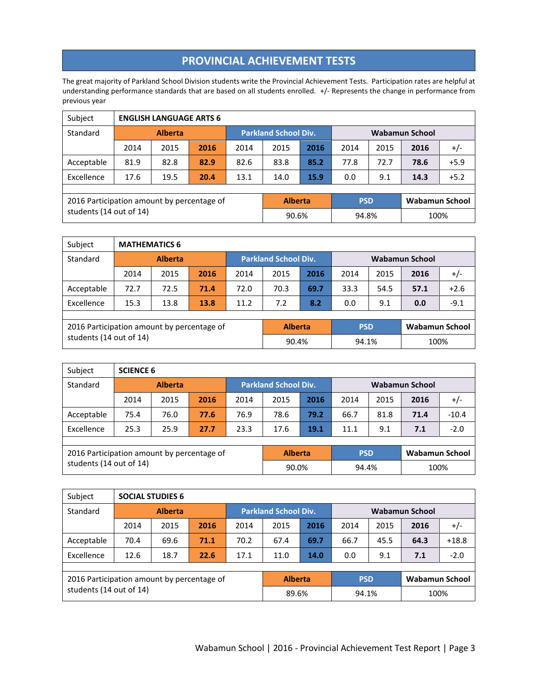## **PROVINCIAL ACHIEVEMENT TESTS**

The great majority of Parkland School Division students write the Provincial Achievement Tests. Participation rates are helpful at understanding performance standards that are based on all students enrolled. +/- Represents the change in performance from previous year

| Subject                                    |                | <b>ENGLISH LANGUAGE ARTS 6</b> |      |      |                             |      |            |                       |                       |        |  |
|--------------------------------------------|----------------|--------------------------------|------|------|-----------------------------|------|------------|-----------------------|-----------------------|--------|--|
| Standard                                   | <b>Alberta</b> |                                |      |      | <b>Parkland School Div.</b> |      |            | <b>Wabamun School</b> |                       |        |  |
|                                            | 2014           | 2015                           | 2016 | 2014 | 2015                        | 2016 | 2014       | 2015                  | 2016                  | $+/-$  |  |
| Acceptable                                 | 81.9           | 82.8                           | 82.9 | 82.6 | 83.8                        | 85.2 | 77.8       | 72.7                  | 78.6                  | $+5.9$ |  |
| Excellence                                 | 17.6           | 19.5                           | 20.4 | 13.1 | 14.0                        | 15.9 | 0.0        | 9.1                   | 14.3                  | $+5.2$ |  |
|                                            |                |                                |      |      |                             |      |            |                       |                       |        |  |
| 2016 Participation amount by percentage of |                |                                |      |      | <b>Alberta</b>              |      | <b>PSD</b> |                       | <b>Wabamun School</b> |        |  |
| students (14 out of 14)                    |                |                                |      |      | 90.6%                       |      | 94.8%      |                       | 100%                  |        |  |

| Subject                                    | <b>MATHEMATICS 6</b> |      |      |      |                             |      |                |      |                       |        |
|--------------------------------------------|----------------------|------|------|------|-----------------------------|------|----------------|------|-----------------------|--------|
| Standard                                   | <b>Alberta</b>       |      |      |      | <b>Parkland School Div.</b> |      | Wabamun School |      |                       |        |
|                                            | 2014                 | 2015 | 2016 | 2014 | 2015                        | 2016 | 2014           | 2015 | 2016                  | $+/-$  |
| Acceptable                                 | 72.7                 | 72.5 | 71.4 | 72.0 | 70.3                        | 69.7 | 33.3           | 54.5 | 57.1                  | $+2.6$ |
| Excellence                                 | 15.3                 | 13.8 | 13.8 | 11.2 | 7.2                         | 8.2  | 0.0            | 9.1  | 0.0                   | $-9.1$ |
|                                            |                      |      |      |      |                             |      |                |      |                       |        |
| 2016 Participation amount by percentage of |                      |      |      |      | <b>Alberta</b>              |      | <b>PSD</b>     |      | <b>Wabamun School</b> |        |
| students (14 out of 14)                    |                      |      |      |      | 90.4%                       |      | 94.1%          |      | 100%                  |        |

| Subject                                    | <b>SCIENCE 6</b> |      |            |                             |                       |      |                       |      |      |         |
|--------------------------------------------|------------------|------|------------|-----------------------------|-----------------------|------|-----------------------|------|------|---------|
| Standard                                   | <b>Alberta</b>   |      |            | <b>Parkland School Div.</b> |                       |      | <b>Wabamun School</b> |      |      |         |
|                                            | 2014             | 2015 | 2016       | 2014                        | 2015                  | 2016 | 2014                  | 2015 | 2016 | $+/-$   |
| Acceptable                                 | 75.4             | 76.0 | 77.6       | 76.9                        | 78.6                  | 79.2 | 66.7                  | 81.8 | 71.4 | $-10.4$ |
| Excellence                                 | 25.3             | 25.9 | 27.7       | 23.3                        | 17.6                  | 19.1 | 11.1                  | 9.1  | 7.1  | $-2.0$  |
|                                            |                  |      |            |                             |                       |      |                       |      |      |         |
| 2016 Participation amount by percentage of | <b>Alberta</b>   |      | <b>PSD</b> |                             | <b>Wabamun School</b> |      |                       |      |      |         |
| students (14 out of 14)                    |                  |      |            |                             | 90.0%                 |      | 94.4%                 |      | 100% |         |

| Subject                                    |                | <b>SOCIAL STUDIES 6</b> |      |                             |                |      |            |                |                |         |  |
|--------------------------------------------|----------------|-------------------------|------|-----------------------------|----------------|------|------------|----------------|----------------|---------|--|
| Standard                                   | <b>Alberta</b> |                         |      | <b>Parkland School Div.</b> |                |      |            | Wabamun School |                |         |  |
|                                            | 2014           | 2015                    | 2016 | 2014                        | 2015           | 2016 | 2014       | 2015           | 2016           | $+/-$   |  |
| Acceptable                                 | 70.4           | 69.6                    | 71.1 | 70.2                        | 67.4           | 69.7 | 66.7       | 45.5           | 64.3           | $+18.8$ |  |
| Excellence                                 | 12.6           | 18.7                    | 22.6 | 17.1                        | 11.0           | 14.0 | 0.0        | 9.1            | 7.1            | $-2.0$  |  |
|                                            |                |                         |      |                             |                |      |            |                |                |         |  |
| 2016 Participation amount by percentage of |                |                         |      |                             | <b>Alberta</b> |      | <b>PSD</b> |                | Wabamun School |         |  |
| students (14 out of 14)                    |                |                         |      |                             | 89.6%          |      | 94.1%      |                | 100%           |         |  |